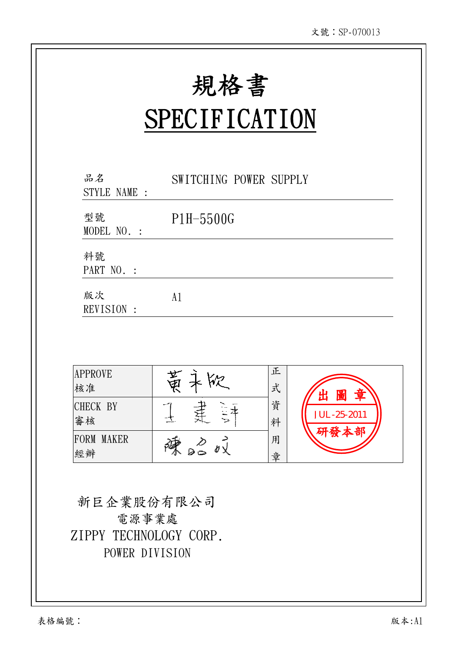規格書

Ξ

# **SPECIFICATION**

| 品名<br>STYLE NAME : | SWITCHING POWER SUPPLY |
|--------------------|------------------------|
| 型號<br>MODEL NO. :  | $P1H-5500G$            |
| 料號<br>PART NO. :   |                        |
| 版次<br>REVISION :   | A <sub>1</sub>         |



新巨企業股份有限公司 電源事業處 ZIPPY TECHNOLOGY CORP. POWER DIVISION

 $\overline{\phantom{a}}$  $\overline{\phantom{a}}$  $\overline{\phantom{a}}$  $\overline{\phantom{a}}$ 

 $\overline{\phantom{a}}$  $\overline{\phantom{a}}$  $\overline{\phantom{a}}$  $\overline{\phantom{a}}$  $\overline{\phantom{a}}$  $\overline{\phantom{a}}$  $\overline{\phantom{a}}$  $\overline{\phantom{a}}$  $\overline{\phantom{a}}$  $\overline{\phantom{a}}$  $\overline{\phantom{a}}$  $\overline{\phantom{a}}$  $\overline{\phantom{a}}$  $\overline{\phantom{a}}$  $\ddot{}$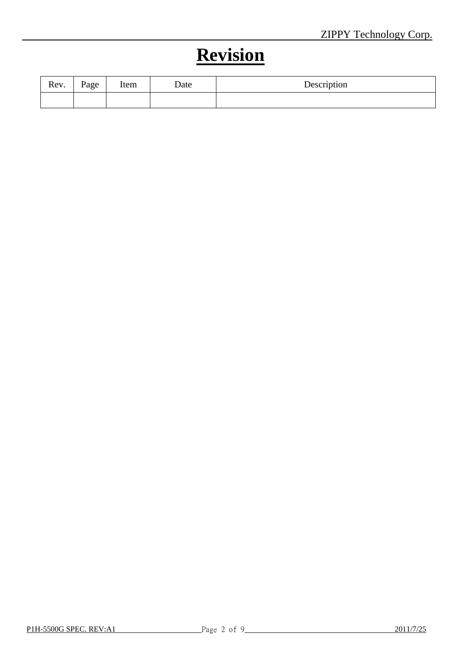# **Revision**

| Rev. | Page | Item | Date | Description |
|------|------|------|------|-------------|
|      |      |      |      |             |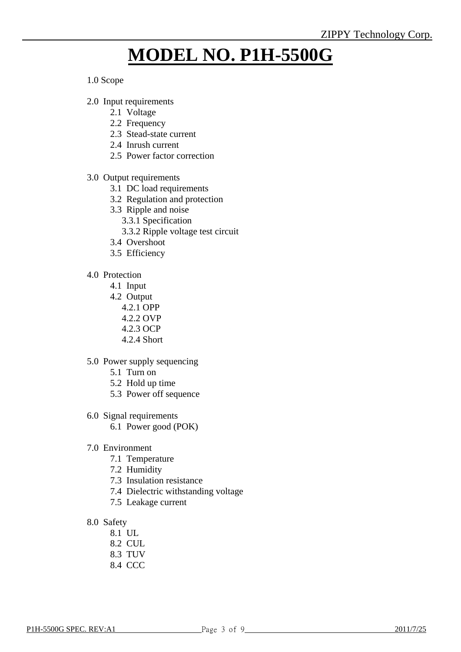# **MODEL NO. P1H-5500G**

#### 1.0 Scope

- 2.0 Input requirements
	- 2.1 Voltage
	- 2.2 Frequency
	- 2.3 Stead-state current
	- 2.4 Inrush current
	- 2.5 Power factor correction
- 3.0 Output requirements
	- 3.1 DC load requirements
	- 3.2 Regulation and protection
	- 3.3 Ripple and noise
		- 3.3.1 Specification
		- 3.3.2 Ripple voltage test circuit
	- 3.4 Overshoot
	- 3.5 Efficiency
- 4.0 Protection
	- 4.1 Input
	- 4.2 Output
		- 4.2.1 OPP
		- 4.2.2 OVP
		- 4.2.3 OCP
		- 4.2.4 Short
- 5.0 Power supply sequencing
	- 5.1 Turn on
	- 5.2 Hold up time
	- 5.3 Power off sequence
- 6.0 Signal requirements
	- 6.1 Power good (POK)
- 7.0 Environment
	- 7.1 Temperature
	- 7.2 Humidity
	- 7.3 Insulation resistance
	- 7.4 Dielectric withstanding voltage
	- 7.5 Leakage current
- 8.0 Safety
	- 8.1 UL
	- 8.2 CUL
	- 8.3 TUV
	- 8.4 CCC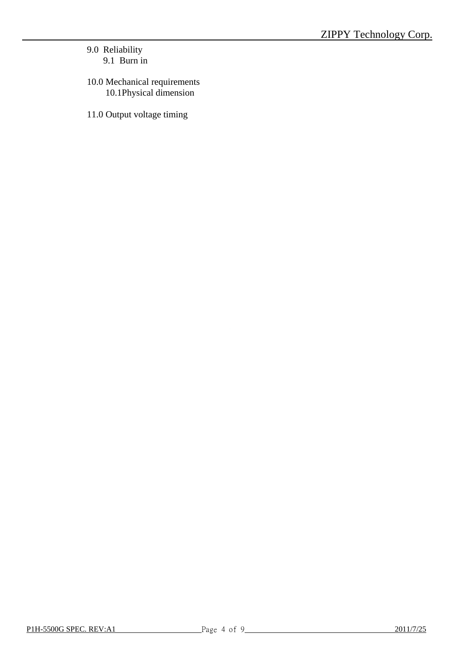### 9.0 Reliability 9.1 Burn in

- 10.0 Mechanical requirements 10.1Physical dimension
- 11.0 Output voltage timing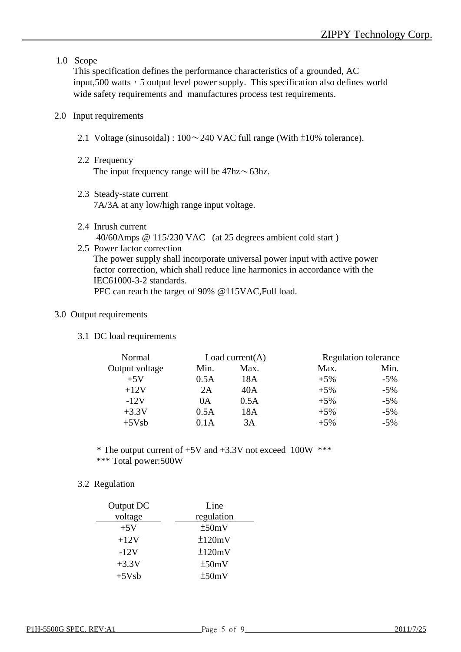1.0 Scope

This specification defines the performance characteristics of a grounded, AC input,500 watts, 5 output level power supply. This specification also defines world wide safety requirements and manufactures process test requirements.

#### 2.0 Input requirements

- 2.1 Voltage (sinusoidal) :  $100 \sim 240$  VAC full range (With  $\pm 10\%$  tolerance).
- 2.2 Frequency The input frequency range will be  $47\text{hz} \sim 63\text{hz}$ .
- 2.3 Steady-state current 7A/3A at any low/high range input voltage.
- 2.4 Inrush current 40/60Amps @ 115/230 VAC (at 25 degrees ambient cold start )
- 2.5 Power factor correction The power supply shall incorporate universal power input with active power factor correction, which shall reduce line harmonics in accordance with the IEC61000-3-2 standards. PFC can reach the target of 90% @115VAC,Full load.

#### 3.0 Output requirements

3.1 DC load requirements

| Normal         |      | Load current $(A)$ |        | <b>Regulation tolerance</b> |  |
|----------------|------|--------------------|--------|-----------------------------|--|
| Output voltage | Min. | Max.               | Max.   | Min.                        |  |
| $+5V$          | 0.5A | 18A                | $+5\%$ | $-5\%$                      |  |
| $+12V$         | 2A   | 40A                | $+5%$  | $-5\%$                      |  |
| $-12V$         | 0A   | 0.5A               | $+5\%$ | $-5\%$                      |  |
| $+3.3V$        | 0.5A | 18A                | $+5%$  | $-5\%$                      |  |
| $+5Vsb$        | 0.1A | 3A                 | $+5%$  | $-5\%$                      |  |

\* The output current of  $+5V$  and  $+3.3V$  not exceed 100W \*\*\* \*\*\* Total power:500W

#### 3.2 Regulation

| Output DC | Line       |
|-----------|------------|
| voltage   | regulation |
| $+5V$     | ±50mV      |
| $+12V$    | ±120mV     |
| $-12V$    | ±120mV     |
| $+3.3V$   | ±50mV      |
| $+5Vsb$   | ±50mV      |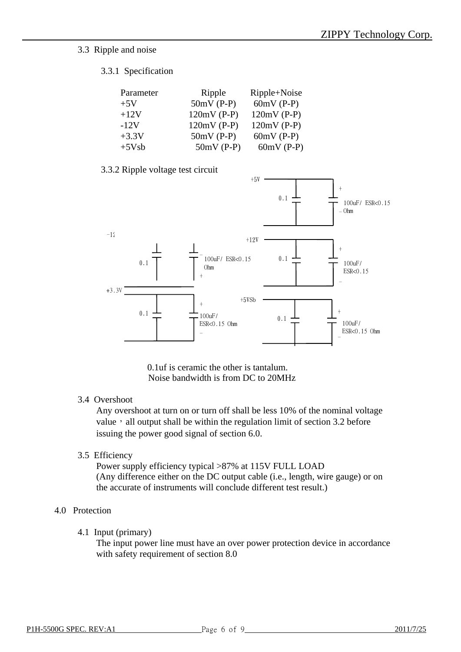#### 3.3 Ripple and noise

#### 3.3.1 Specification

| Parameter | Ripple        | Ripple+Noise  |
|-----------|---------------|---------------|
| $+5V$     | $50mV$ (P-P)  | $60mV$ (P-P)  |
| $+12V$    | $120mV$ (P-P) | $120mV$ (P-P) |
| $-12V$    | $120mV$ (P-P) | $120mV$ (P-P) |
| $+3.3V$   | $50mV$ (P-P)  | $60mV$ (P-P)  |
| $+5Vsb$   | $50mV$ (P-P)  | $60mV$ (P-P)  |

#### 3.3.2 Ripple voltage test circuit



0.1uf is ceramic the other is tantalum. Noise bandwidth is from DC to 20MHz

#### 3.4 Overshoot

Any overshoot at turn on or turn off shall be less 10% of the nominal voltage value, all output shall be within the regulation limit of section 3.2 before issuing the power good signal of section 6.0.

3.5 Efficiency

Power supply efficiency typical >87% at 115V FULL LOAD (Any difference either on the DC output cable (i.e., length, wire gauge) or on the accurate of instruments will conclude different test result.)

#### 4.0 Protection

4.1 Input (primary)

The input power line must have an over power protection device in accordance with safety requirement of section 8.0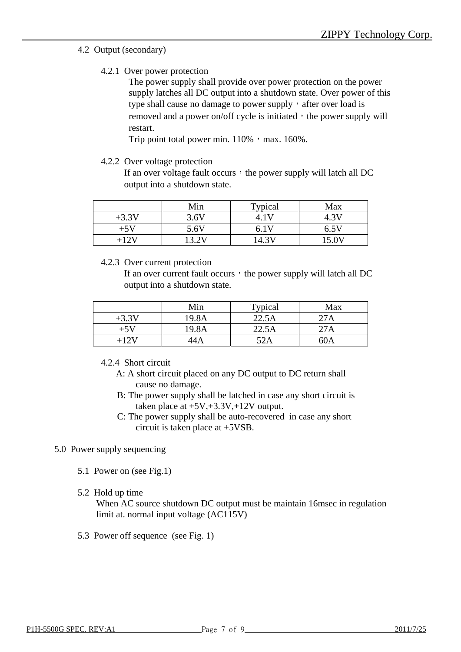#### 4.2 Output (secondary)

4.2.1 Over power protection

The power supply shall provide over power protection on the power supply latches all DC output into a shutdown state. Over power of this type shall cause no damage to power supply, after over load is removed and a power on/off cycle is initiated, the power supply will restart.

Trip point total power min.  $110\%$ , max.  $160\%$ .

#### 4.2.2 Over voltage protection

If an over voltage fault occurs, the power supply will latch all  $DC$ output into a shutdown state.

|         | Min   | Typical | Max   |
|---------|-------|---------|-------|
| $+3.3V$ | 3.6V  |         |       |
| $+5V$   | 5.6V  | 6.1V    | 6.5V  |
| +12V    | 13.2V | 14.3\   | 15 OV |

#### 4.2.3 Over current protection

If an over current fault occurs, the power supply will latch all  $DC$ output into a shutdown state.

|         | Min   | Typical | Max |
|---------|-------|---------|-----|
| $+3.3V$ | 19.8A | 22.5A   | 27A |
| $+5V$   | 19.8A | 22.5A   | 27A |
| +127    | 14 A  | 52A     | 60A |

#### 4.2.4 Short circuit

- A: A short circuit placed on any DC output to DC return shall cause no damage.
- B: The power supply shall be latched in case any short circuit is taken place at  $+5V, +3.3V, +12V$  output.
- C: The power supply shall be auto-recovered in case any short circuit is taken place at +5VSB.

#### 5.0 Power supply sequencing

- 5.1 Power on (see Fig.1)
- 5.2 Hold up time

When AC source shutdown DC output must be maintain 16msec in regulation limit at. normal input voltage (AC115V)

5.3 Power off sequence (see Fig. 1)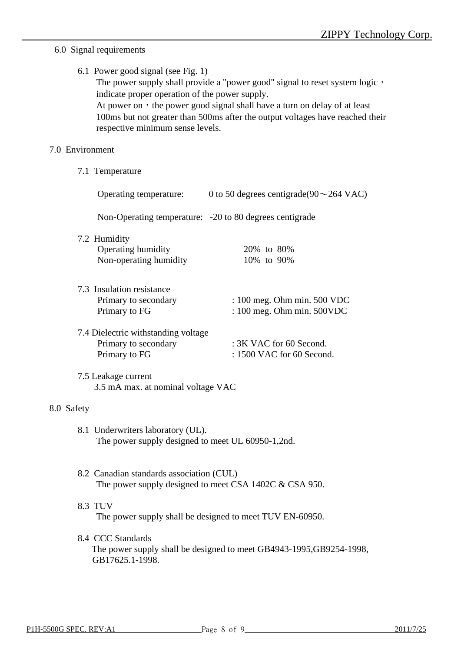## 6.0 Signal requirements

| 6.1 Power good signal (see Fig. 1)                                                                                  |
|---------------------------------------------------------------------------------------------------------------------|
| The power supply shall provide a "power good" signal to reset system logic,                                         |
| indicate proper operation of the power supply.                                                                      |
| At power on $\cdot$ the power good signal shall have a turn on delay of at least                                    |
| 100 ms but not greater than 500 ms after the output voltages have reached their<br>respective minimum sense levels. |
|                                                                                                                     |

### 7.0 Environment

7.1 Temperature

|                                                                              |                                                                                                       | Operating temperature: $0$ to 50 degrees centigrade(90 $\sim$ 264 VAC) |  |  |
|------------------------------------------------------------------------------|-------------------------------------------------------------------------------------------------------|------------------------------------------------------------------------|--|--|
|                                                                              |                                                                                                       | Non-Operating temperature: -20 to 80 degrees centigrade                |  |  |
| 7.2 Humidity<br>Operating humidity<br>Non-operating humidity                 |                                                                                                       | 20% to 80%<br>10% to 90%                                               |  |  |
| 7.3 Insulation resistance<br>Primary to secondary<br>Primary to FG           |                                                                                                       | : 100 meg. Ohm min. 500 VDC<br>: 100 meg. Ohm min. 500VDC              |  |  |
| 7.4 Dielectric withstanding voltage<br>Primary to secondary<br>Primary to FG |                                                                                                       | : 3K VAC for 60 Second.<br>: 1500 VAC for 60 Second.                   |  |  |
| 7.5 Leakage current                                                          | 3.5 mA max. at nominal voltage VAC                                                                    |                                                                        |  |  |
| 8.0 Safety                                                                   |                                                                                                       |                                                                        |  |  |
|                                                                              | 8.1 Underwriters laboratory (UL).<br>The power supply designed to meet UL 60950-1,2nd.                |                                                                        |  |  |
|                                                                              | 8.2 Canadian standards association (CUL)<br>The power supply designed to meet CSA $1402C \& CSA$ 950. |                                                                        |  |  |
| 8.3 TUV                                                                      | The power supply shall be designed to meet TUV EN-60950.                                              |                                                                        |  |  |
| 8.4 CCC Standards<br>GB17625.1-1998.                                         |                                                                                                       | The power supply shall be designed to meet GB4943-1995, GB9254-1998,   |  |  |